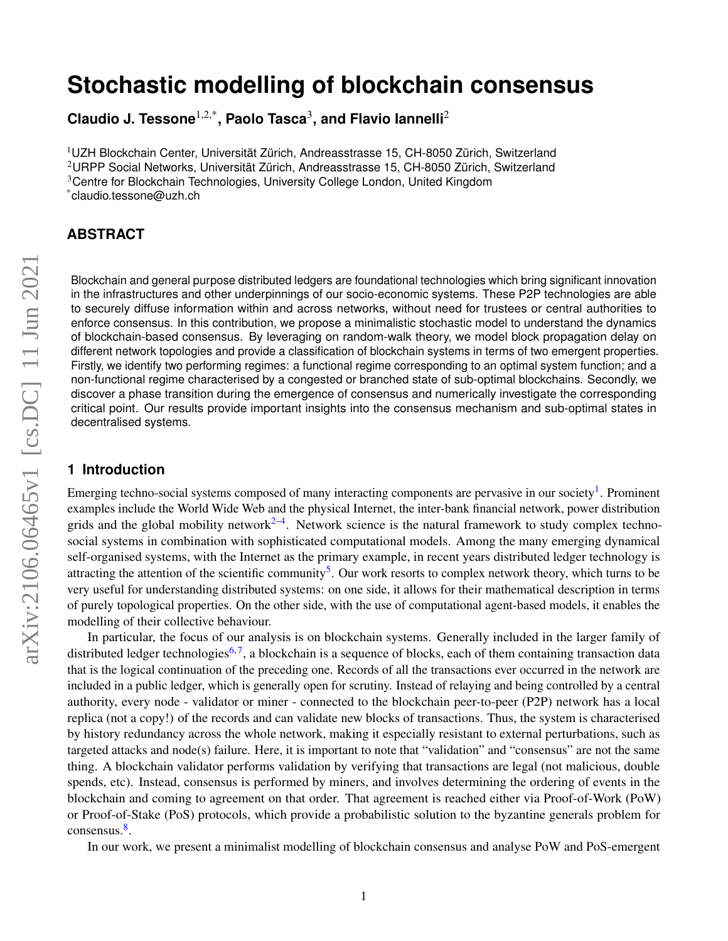# **Stochastic modelling of blockchain consensus**

**Claudio J. Tessone**1,2,\***, Paolo Tasca**<sup>3</sup> **, and Flavio Iannelli**<sup>2</sup>

 $10Z$ H Blockchain Center, Universität Zürich, Andreasstrasse 15, CH-8050 Zürich, Switzerland  $2$ URPP Social Networks, Universität Zürich, Andreasstrasse 15, CH-8050 Zürich, Switzerland <sup>3</sup>Centre for Blockchain Technologies, University College London, United Kingdom \*claudio.tessone@uzh.ch

# **ABSTRACT**

Blockchain and general purpose distributed ledgers are foundational technologies which bring significant innovation in the infrastructures and other underpinnings of our socio-economic systems. These P2P technologies are able to securely diffuse information within and across networks, without need for trustees or central authorities to enforce consensus. In this contribution, we propose a minimalistic stochastic model to understand the dynamics of blockchain-based consensus. By leveraging on random-walk theory, we model block propagation delay on different network topologies and provide a classification of blockchain systems in terms of two emergent properties. Firstly, we identify two performing regimes: a functional regime corresponding to an optimal system function; and a non-functional regime characterised by a congested or branched state of sub-optimal blockchains. Secondly, we discover a phase transition during the emergence of consensus and numerically investigate the corresponding critical point. Our results provide important insights into the consensus mechanism and sub-optimal states in decentralised systems.

## **1 Introduction**

Emerging techno-social systems composed of many interacting components are pervasive in our society<sup>[1](#page-14-0)</sup>. Prominent examples include the World Wide Web and the physical Internet, the inter-bank financial network, power distribution grids and the global mobility network $2-4$  $2-4$ . Network science is the natural framework to study complex technosocial systems in combination with sophisticated computational models. Among the many emerging dynamical self-organised systems, with the Internet as the primary example, in recent years distributed ledger technology is attracting the attention of the scientific community<sup>[5](#page-14-3)</sup>. Our work resorts to complex network theory, which turns to be very useful for understanding distributed systems: on one side, it allows for their mathematical description in terms of purely topological properties. On the other side, with the use of computational agent-based models, it enables the modelling of their collective behaviour.

In particular, the focus of our analysis is on blockchain systems. Generally included in the larger family of distributed ledger technologies<sup>[6,](#page-14-4)[7](#page-14-5)</sup>, a blockchain is a sequence of blocks, each of them containing transaction data that is the logical continuation of the preceding one. Records of all the transactions ever occurred in the network are included in a public ledger, which is generally open for scrutiny. Instead of relaying and being controlled by a central authority, every node - validator or miner - connected to the blockchain peer-to-peer (P2P) network has a local replica (not a copy!) of the records and can validate new blocks of transactions. Thus, the system is characterised by history redundancy across the whole network, making it especially resistant to external perturbations, such as targeted attacks and node(s) failure. Here, it is important to note that "validation" and "consensus" are not the same thing. A blockchain validator performs validation by verifying that transactions are legal (not malicious, double spends, etc). Instead, consensus is performed by miners, and involves determining the ordering of events in the blockchain and coming to agreement on that order. That agreement is reached either via Proof-of-Work (PoW) or Proof-of-Stake (PoS) protocols, which provide a probabilistic solution to the byzantine generals problem for consensus.<sup>[8](#page-14-6)</sup>.

In our work, we present a minimalist modelling of blockchain consensus and analyse PoW and PoS-emergent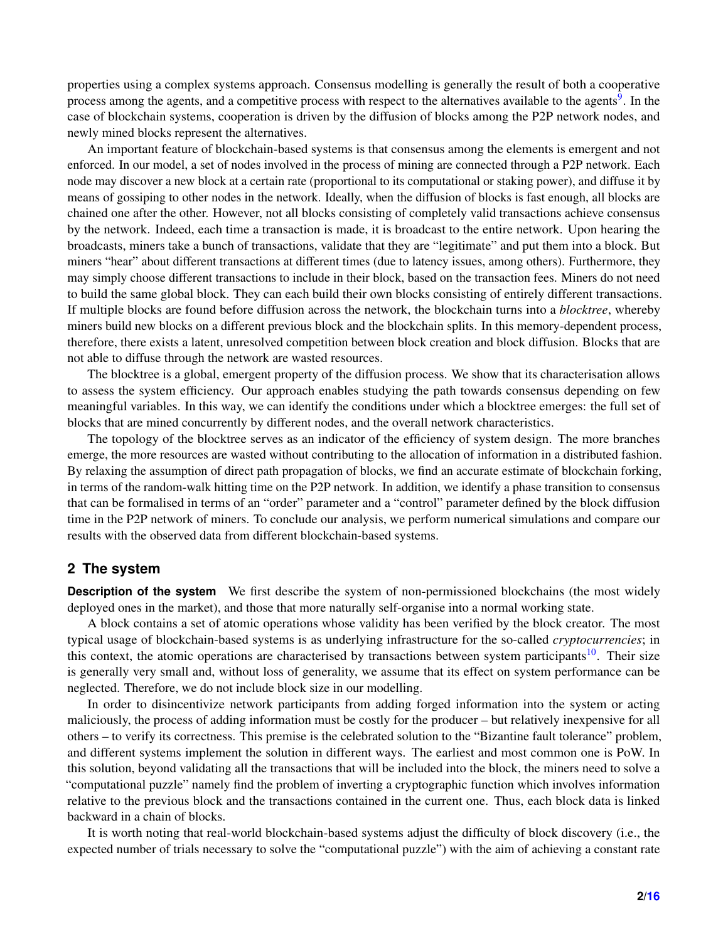properties using a complex systems approach. Consensus modelling is generally the result of both a cooperative process among the agents, and a competitive process with respect to the alternatives available to the agents<sup>[9](#page-14-7)</sup>. In the case of blockchain systems, cooperation is driven by the diffusion of blocks among the P2P network nodes, and newly mined blocks represent the alternatives.

An important feature of blockchain-based systems is that consensus among the elements is emergent and not enforced. In our model, a set of nodes involved in the process of mining are connected through a P2P network. Each node may discover a new block at a certain rate (proportional to its computational or staking power), and diffuse it by means of gossiping to other nodes in the network. Ideally, when the diffusion of blocks is fast enough, all blocks are chained one after the other. However, not all blocks consisting of completely valid transactions achieve consensus by the network. Indeed, each time a transaction is made, it is broadcast to the entire network. Upon hearing the broadcasts, miners take a bunch of transactions, validate that they are "legitimate" and put them into a block. But miners "hear" about different transactions at different times (due to latency issues, among others). Furthermore, they may simply choose different transactions to include in their block, based on the transaction fees. Miners do not need to build the same global block. They can each build their own blocks consisting of entirely different transactions. If multiple blocks are found before diffusion across the network, the blockchain turns into a *blocktree*, whereby miners build new blocks on a different previous block and the blockchain splits. In this memory-dependent process, therefore, there exists a latent, unresolved competition between block creation and block diffusion. Blocks that are not able to diffuse through the network are wasted resources.

The blocktree is a global, emergent property of the diffusion process. We show that its characterisation allows to assess the system efficiency. Our approach enables studying the path towards consensus depending on few meaningful variables. In this way, we can identify the conditions under which a blocktree emerges: the full set of blocks that are mined concurrently by different nodes, and the overall network characteristics.

The topology of the blocktree serves as an indicator of the efficiency of system design. The more branches emerge, the more resources are wasted without contributing to the allocation of information in a distributed fashion. By relaxing the assumption of direct path propagation of blocks, we find an accurate estimate of blockchain forking, in terms of the random-walk hitting time on the P2P network. In addition, we identify a phase transition to consensus that can be formalised in terms of an "order" parameter and a "control" parameter defined by the block diffusion time in the P2P network of miners. To conclude our analysis, we perform numerical simulations and compare our results with the observed data from different blockchain-based systems.

## **2 The system**

**Description of the system** We first describe the system of non-permissioned blockchains (the most widely deployed ones in the market), and those that more naturally self-organise into a normal working state.

A block contains a set of atomic operations whose validity has been verified by the block creator. The most typical usage of blockchain-based systems is as underlying infrastructure for the so-called *cryptocurrencies*; in this context, the atomic operations are characterised by transactions between system participants<sup>[10](#page-14-8)</sup>. Their size is generally very small and, without loss of generality, we assume that its effect on system performance can be neglected. Therefore, we do not include block size in our modelling.

In order to disincentivize network participants from adding forged information into the system or acting maliciously, the process of adding information must be costly for the producer – but relatively inexpensive for all others – to verify its correctness. This premise is the celebrated solution to the "Bizantine fault tolerance" problem, and different systems implement the solution in different ways. The earliest and most common one is PoW. In this solution, beyond validating all the transactions that will be included into the block, the miners need to solve a "computational puzzle" namely find the problem of inverting a cryptographic function which involves information relative to the previous block and the transactions contained in the current one. Thus, each block data is linked backward in a chain of blocks.

It is worth noting that real-world blockchain-based systems adjust the difficulty of block discovery (i.e., the expected number of trials necessary to solve the "computational puzzle") with the aim of achieving a constant rate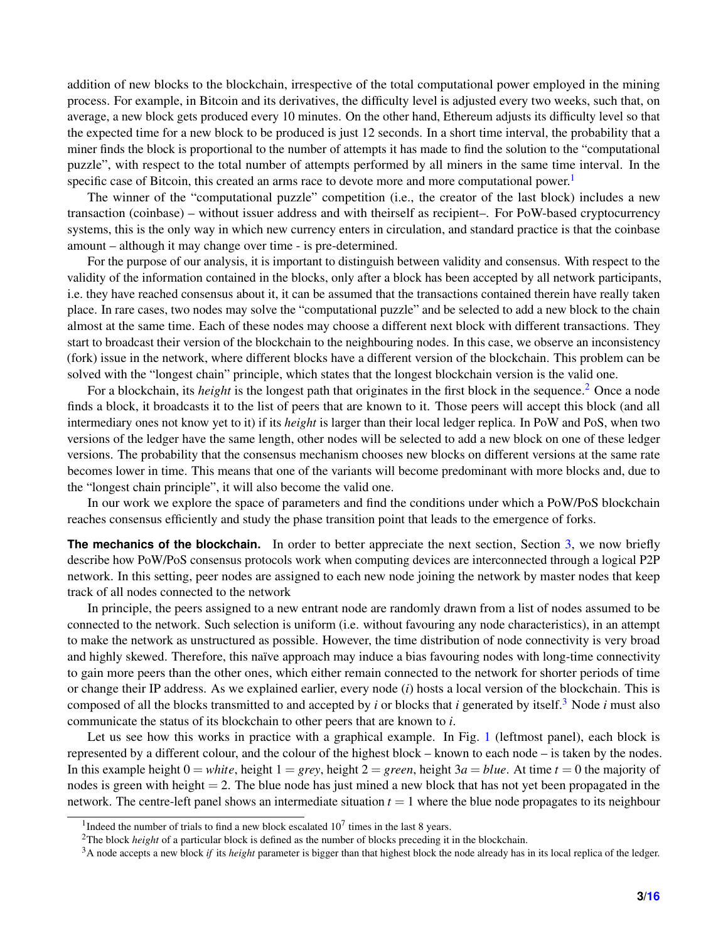addition of new blocks to the blockchain, irrespective of the total computational power employed in the mining process. For example, in Bitcoin and its derivatives, the difficulty level is adjusted every two weeks, such that, on average, a new block gets produced every 10 minutes. On the other hand, Ethereum adjusts its difficulty level so that the expected time for a new block to be produced is just 12 seconds. In a short time interval, the probability that a miner finds the block is proportional to the number of attempts it has made to find the solution to the "computational puzzle", with respect to the total number of attempts performed by all miners in the same time interval. In the specific case of Bitcoin, this created an arms race to devote more and more computational power.<sup>[1](#page-2-0)</sup>

The winner of the "computational puzzle" competition (i.e., the creator of the last block) includes a new transaction (coinbase) – without issuer address and with theirself as recipient–. For PoW-based cryptocurrency systems, this is the only way in which new currency enters in circulation, and standard practice is that the coinbase amount – although it may change over time - is pre-determined.

For the purpose of our analysis, it is important to distinguish between validity and consensus. With respect to the validity of the information contained in the blocks, only after a block has been accepted by all network participants, i.e. they have reached consensus about it, it can be assumed that the transactions contained therein have really taken place. In rare cases, two nodes may solve the "computational puzzle" and be selected to add a new block to the chain almost at the same time. Each of these nodes may choose a different next block with different transactions. They start to broadcast their version of the blockchain to the neighbouring nodes. In this case, we observe an inconsistency (fork) issue in the network, where different blocks have a different version of the blockchain. This problem can be solved with the "longest chain" principle, which states that the longest blockchain version is the valid one.

For a blockchain, its *height* is the longest path that originates in the first block in the sequence.[2](#page-2-1) Once a node finds a block, it broadcasts it to the list of peers that are known to it. Those peers will accept this block (and all intermediary ones not know yet to it) if its *height* is larger than their local ledger replica. In PoW and PoS, when two versions of the ledger have the same length, other nodes will be selected to add a new block on one of these ledger versions. The probability that the consensus mechanism chooses new blocks on different versions at the same rate becomes lower in time. This means that one of the variants will become predominant with more blocks and, due to the "longest chain principle", it will also become the valid one.

In our work we explore the space of parameters and find the conditions under which a PoW/PoS blockchain reaches consensus efficiently and study the phase transition point that leads to the emergence of forks.

**The mechanics of the blockchain.** In order to better appreciate the next section, Section [3,](#page-3-0) we now briefly describe how PoW/PoS consensus protocols work when computing devices are interconnected through a logical P2P network. In this setting, peer nodes are assigned to each new node joining the network by master nodes that keep track of all nodes connected to the network

In principle, the peers assigned to a new entrant node are randomly drawn from a list of nodes assumed to be connected to the network. Such selection is uniform (i.e. without favouring any node characteristics), in an attempt to make the network as unstructured as possible. However, the time distribution of node connectivity is very broad and highly skewed. Therefore, this naïve approach may induce a bias favouring nodes with long-time connectivity to gain more peers than the other ones, which either remain connected to the network for shorter periods of time or change their IP address. As we explained earlier, every node (*i*) hosts a local version of the blockchain. This is composed of all the blocks transmitted to and accepted by *i* or blocks that *i* generated by itself.[3](#page-2-2) Node *i* must also communicate the status of its blockchain to other peers that are known to *i*.

Let us see how this works in practice with a graphical example. In Fig. [1](#page-3-1) (leftmost panel), each block is represented by a different colour, and the colour of the highest block – known to each node – is taken by the nodes. In this example height  $0 = white$ , height  $1 = grey$ , height  $2 = green$ , height  $3a = blue$ . At time  $t = 0$  the majority of nodes is green with height  $= 2$ . The blue node has just mined a new block that has not yet been propagated in the network. The centre-left panel shows an intermediate situation  $t = 1$  where the blue node propagates to its neighbour

<span id="page-2-0"></span><sup>&</sup>lt;sup>1</sup>Indeed the number of trials to find a new block escalated  $10<sup>7</sup>$  times in the last 8 years.

<span id="page-2-1"></span><sup>2</sup>The block *height* of a particular block is defined as the number of blocks preceding it in the blockchain.

<span id="page-2-2"></span><sup>3</sup>A node accepts a new block *if* its *height* parameter is bigger than that highest block the node already has in its local replica of the ledger.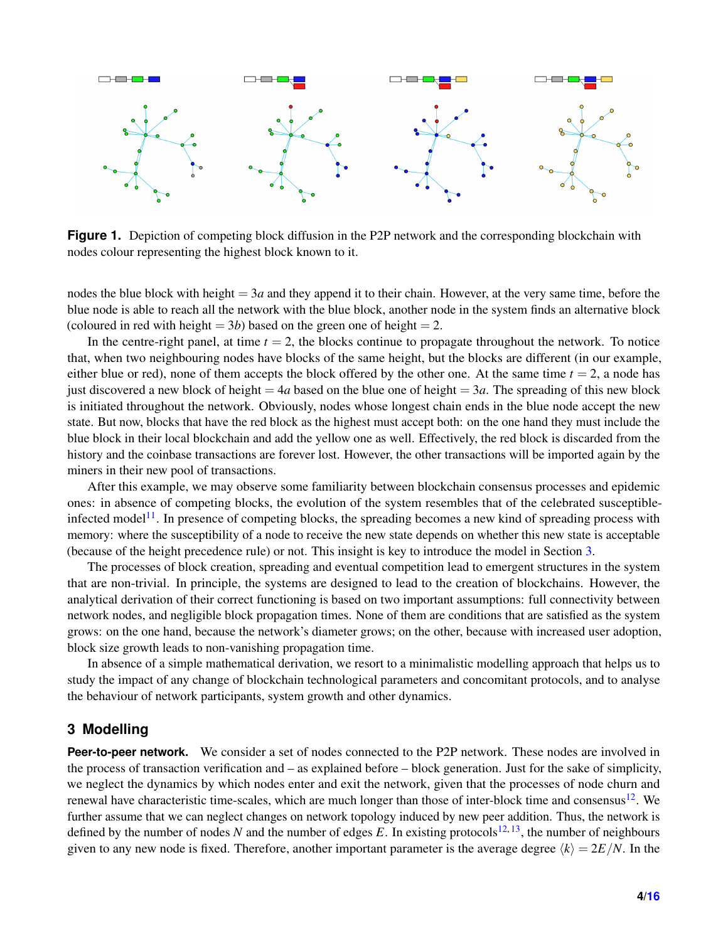<span id="page-3-1"></span>

**Figure 1.** Depiction of competing block diffusion in the P2P network and the corresponding blockchain with nodes colour representing the highest block known to it.

nodes the blue block with height  $= 3a$  and they append it to their chain. However, at the very same time, before the blue node is able to reach all the network with the blue block, another node in the system finds an alternative block (coloured in red with height  $= 3b$ ) based on the green one of height  $= 2$ .

In the centre-right panel, at time  $t = 2$ , the blocks continue to propagate throughout the network. To notice that, when two neighbouring nodes have blocks of the same height, but the blocks are different (in our example, either blue or red), none of them accepts the block offered by the other one. At the same time  $t = 2$ , a node has just discovered a new block of height  $= 4a$  based on the blue one of height  $= 3a$ . The spreading of this new block is initiated throughout the network. Obviously, nodes whose longest chain ends in the blue node accept the new state. But now, blocks that have the red block as the highest must accept both: on the one hand they must include the blue block in their local blockchain and add the yellow one as well. Effectively, the red block is discarded from the history and the coinbase transactions are forever lost. However, the other transactions will be imported again by the miners in their new pool of transactions.

After this example, we may observe some familiarity between blockchain consensus processes and epidemic ones: in absence of competing blocks, the evolution of the system resembles that of the celebrated susceptible-infected model<sup>[11](#page-14-9)</sup>. In presence of competing blocks, the spreading becomes a new kind of spreading process with memory: where the susceptibility of a node to receive the new state depends on whether this new state is acceptable (because of the height precedence rule) or not. This insight is key to introduce the model in Section [3.](#page-3-0)

The processes of block creation, spreading and eventual competition lead to emergent structures in the system that are non-trivial. In principle, the systems are designed to lead to the creation of blockchains. However, the analytical derivation of their correct functioning is based on two important assumptions: full connectivity between network nodes, and negligible block propagation times. None of them are conditions that are satisfied as the system grows: on the one hand, because the network's diameter grows; on the other, because with increased user adoption, block size growth leads to non-vanishing propagation time.

In absence of a simple mathematical derivation, we resort to a minimalistic modelling approach that helps us to study the impact of any change of blockchain technological parameters and concomitant protocols, and to analyse the behaviour of network participants, system growth and other dynamics.

## <span id="page-3-0"></span>**3 Modelling**

Peer-to-peer network. We consider a set of nodes connected to the P2P network. These nodes are involved in the process of transaction verification and – as explained before – block generation. Just for the sake of simplicity, we neglect the dynamics by which nodes enter and exit the network, given that the processes of node churn and renewal have characteristic time-scales, which are much longer than those of inter-block time and consensus $12$ . We further assume that we can neglect changes on network topology induced by new peer addition. Thus, the network is defined by the number of nodes N and the number of edges E. In existing protocols<sup>[12,](#page-14-10) [13](#page-15-1)</sup>, the number of neighbours given to any new node is fixed. Therefore, another important parameter is the average degree  $\langle k \rangle = 2E/N$ . In the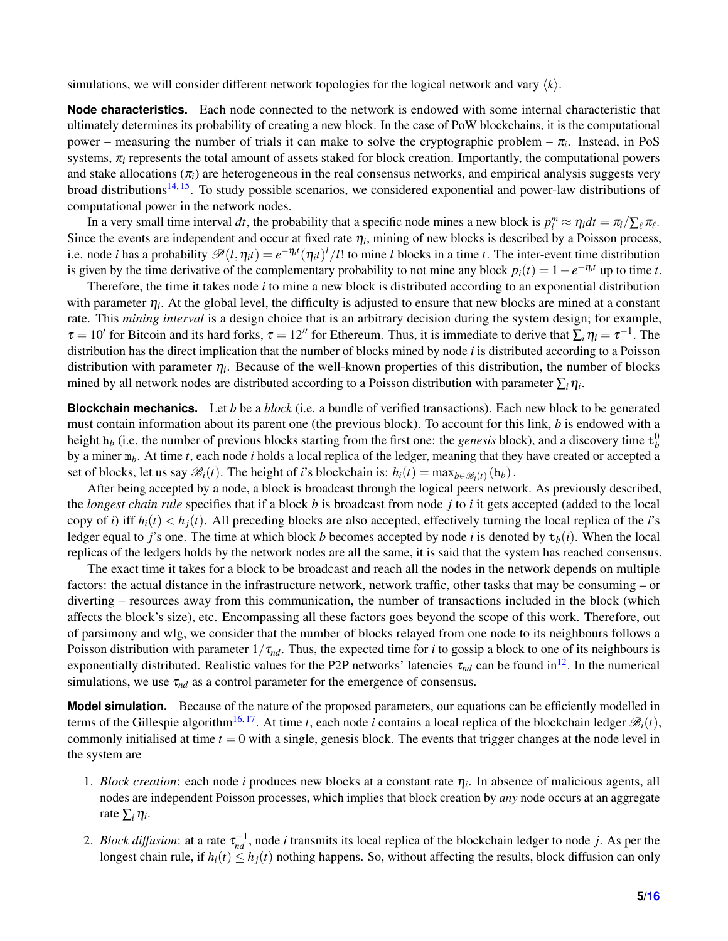simulations, we will consider different network topologies for the logical network and vary  $\langle k \rangle$ .

**Node characteristics.** Each node connected to the network is endowed with some internal characteristic that ultimately determines its probability of creating a new block. In the case of PoW blockchains, it is the computational power – measuring the number of trials it can make to solve the cryptographic problem –  $\pi_i$ . Instead, in PoS systems,  $\pi$ <sub>i</sub> represents the total amount of assets staked for block creation. Importantly, the computational powers and stake allocations  $(\pi_i)$  are heterogeneous in the real consensus networks, and empirical analysis suggests very broad distributions<sup>[14,](#page-15-2) [15](#page-15-3)</sup>. To study possible scenarios, we considered exponential and power-law distributions of computational power in the network nodes.

In a very small time interval dt, the probability that a specific node mines a new block is  $p_i^m \approx \eta_i dt = \pi_i / \sum_{\ell} \pi_{\ell}$ . Since the events are independent and occur at fixed rate  $\eta_i$ , mining of new blocks is described by a Poisson process, i.e. node *i* has a probability  $\mathscr{P}(l,\eta_it) = e^{-\eta_it}(\eta_it)^l/l!$  to mine *l* blocks in a time *t*. The inter-event time distribution is given by the time derivative of the complementary probability to not mine any block  $p_i(t) = 1 - e^{-\eta_i t}$  up to time *t*.

Therefore, the time it takes node *i* to mine a new block is distributed according to an exponential distribution with parameter  $\eta_i$ . At the global level, the difficulty is adjusted to ensure that new blocks are mined at a constant rate. This *mining interval* is a design choice that is an arbitrary decision during the system design; for example,  $\tau = 10'$  for Bitcoin and its hard forks,  $\tau = 12''$  for Ethereum. Thus, it is immediate to derive that  $\sum_i \eta_i = \tau^{-1}$ . The distribution has the direct implication that the number of blocks mined by node *i* is distributed according to a Poisson distribution with parameter  $\eta_i$ . Because of the well-known properties of this distribution, the number of blocks mined by all network nodes are distributed according to a Poisson distribution with parameter  $\sum_i \eta_i$ .

**Blockchain mechanics.** Let *b* be a *block* (i.e. a bundle of verified transactions). Each new block to be generated must contain information about its parent one (the previous block). To account for this link, *b* is endowed with a height  $h_b$  (i.e. the number of previous blocks starting from the first one: the *genesis* block), and a discovery time  $t_b^0$ by a miner m*b*. At time *t*, each node *i* holds a local replica of the ledger, meaning that they have created or accepted a set of blocks, let us say  $\mathcal{B}_i(t)$ . The height of *i*'s blockchain is:  $h_i(t) = \max_{b \in \mathcal{B}_i(t)} (h_b)$ .

After being accepted by a node, a block is broadcast through the logical peers network. As previously described, the *longest chain rule* specifies that if a block *b* is broadcast from node *j* to *i* it gets accepted (added to the local copy of *i*) iff  $h_i(t) < h_i(t)$ . All preceding blocks are also accepted, effectively turning the local replica of the *i*'s ledger equal to *j*'s one. The time at which block *b* becomes accepted by node *i* is denoted by  $t_h(i)$ . When the local replicas of the ledgers holds by the network nodes are all the same, it is said that the system has reached consensus.

The exact time it takes for a block to be broadcast and reach all the nodes in the network depends on multiple factors: the actual distance in the infrastructure network, network traffic, other tasks that may be consuming – or diverting – resources away from this communication, the number of transactions included in the block (which affects the block's size), etc. Encompassing all these factors goes beyond the scope of this work. Therefore, out of parsimony and wlg, we consider that the number of blocks relayed from one node to its neighbours follows a Poisson distribution with parameter  $1/\tau_{nd}$ . Thus, the expected time for *i* to gossip a block to one of its neighbours is exponentially distributed. Realistic values for the P2P networks' latencies  $\tau_{nd}$  can be found in<sup>[12](#page-14-10)</sup>. In the numerical simulations, we use  $\tau_{nd}$  as a control parameter for the emergence of consensus.

**Model simulation.** Because of the nature of the proposed parameters, our equations can be efficiently modelled in terms of the Gillespie algorithm<sup>[16,](#page-15-4) [17](#page-15-5)</sup>. At time *t*, each node *i* contains a local replica of the blockchain ledger  $\mathcal{B}_i(t)$ , commonly initialised at time  $t = 0$  with a single, genesis block. The events that trigger changes at the node level in the system are

- 1. *Block creation*: each node *i* produces new blocks at a constant rate  $\eta_i$ . In absence of malicious agents, all nodes are independent Poisson processes, which implies that block creation by *any* node occurs at an aggregate rate  $\sum_i \eta_i$ .
- 2. *Block diffusion*: at a rate  $\tau_{nd}^{-1}$ , node *i* transmits its local replica of the blockchain ledger to node *j*. As per the longest chain rule, if  $h_i(t) \leq h_i(t)$  nothing happens. So, without affecting the results, block diffusion can only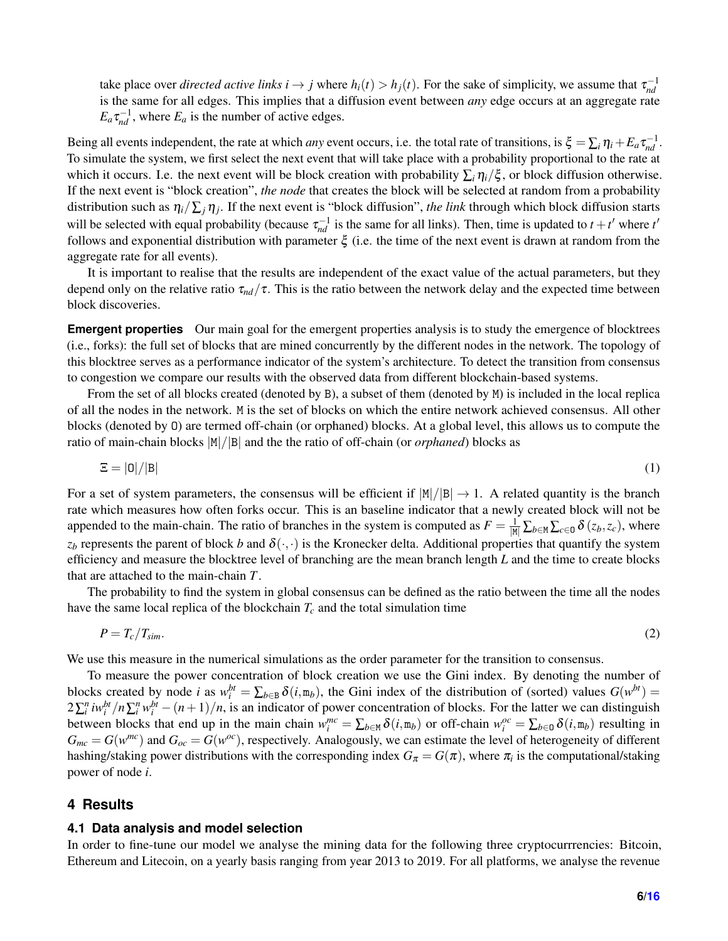take place over *directed active links*  $i \to j$  where  $h_i(t) > h_j(t)$ . For the sake of simplicity, we assume that  $\tau_{nd}^{-1}$ is the same for all edges. This implies that a diffusion event between *any* edge occurs at an aggregate rate  $E_a \tau_{nd}^{-1}$ , where  $E_a$  is the number of active edges.

Being all events independent, the rate at which *any* event occurs, i.e. the total rate of transitions, is  $\xi = \sum_i \eta_i + E_a \tau_{nd}^{-1}$ . To simulate the system, we first select the next event that will take place with a probability proportional to the rate at which it occurs. I.e. the next event will be block creation with probability  $\sum_i \eta_i/\xi$ , or block diffusion otherwise. If the next event is "block creation", *the node* that creates the block will be selected at random from a probability distribution such as η*i*/∑*<sup>j</sup>* η*<sup>j</sup>* . If the next event is "block diffusion", *the link* through which block diffusion starts will be selected with equal probability (because  $\tau_{nd}^{-1}$  is the same for all links). Then, time is updated to  $t + t'$  where  $t'$ follows and exponential distribution with parameter  $\xi$  (i.e. the time of the next event is drawn at random from the aggregate rate for all events).

It is important to realise that the results are independent of the exact value of the actual parameters, but they depend only on the relative ratio  $\tau_{nd}/\tau$ . This is the ratio between the network delay and the expected time between block discoveries.

**Emergent properties** Our main goal for the emergent properties analysis is to study the emergence of blocktrees (i.e., forks): the full set of blocks that are mined concurrently by the different nodes in the network. The topology of this blocktree serves as a performance indicator of the system's architecture. To detect the transition from consensus to congestion we compare our results with the observed data from different blockchain-based systems.

From the set of all blocks created (denoted by B), a subset of them (denoted by M) is included in the local replica of all the nodes in the network. M is the set of blocks on which the entire network achieved consensus. All other blocks (denoted by O) are termed off-chain (or orphaned) blocks. At a global level, this allows us to compute the ratio of main-chain blocks  $|M|/|B|$  and the the ratio of off-chain (or *orphaned*) blocks as

<span id="page-5-0"></span>
$$
\Xi = |0|/|B| \tag{1}
$$

For a set of system parameters, the consensus will be efficient if  $|M|/|B| \to 1$ . A related quantity is the branch rate which measures how often forks occur. This is an baseline indicator that a newly created block will not be appended to the main-chain. The ratio of branches in the system is computed as  $F = \frac{1}{|M|} \sum_{b \in M} \sum_{c \in D} \delta(z_b, z_c)$ , where  $z_b$  represents the parent of block *b* and  $\delta(\cdot, \cdot)$  is the Kronecker delta. Additional properties that quantify the system efficiency and measure the blocktree level of branching are the mean branch length *L* and the time to create blocks that are attached to the main-chain *T*.

The probability to find the system in global consensus can be defined as the ratio between the time all the nodes have the same local replica of the blockchain  $T_c$  and the total simulation time

<span id="page-5-1"></span>
$$
P = T_c / T_{sim}.
$$

We use this measure in the numerical simulations as the order parameter for the transition to consensus.

To measure the power concentration of block creation we use the Gini index. By denoting the number of blocks created by node *i* as  $w_i^{bt} = \sum_{b \in B} \delta(i, m_b)$ , the Gini index of the distribution of (sorted) values  $G(w^{bt}) =$  $2\sum_i^n i w_i^{bt} / n \sum_i^n w_i^{bt} - (n+1)/n$ , is an indicator of power concentration of blocks. For the latter we can distinguish between blocks that end up in the main chain  $w_i^{mc} = \sum_{b \in \mathbb{N}} \delta(i, m_b)$  or off-chain  $w_i^{oc} = \sum_{b \in \mathbb{O}} \delta(i, m_b)$  resulting in  $G_{mc} = G(w^{mc})$  and  $G_{oc} = G(w^{oc})$ , respectively. Analogously, we can estimate the level of heterogeneity of different hashing/staking power distributions with the corresponding index  $G_\pi = G(\pi)$ , where  $\pi_i$  is the computational/staking power of node *i*.

#### **4 Results**

#### <span id="page-5-2"></span>**4.1 Data analysis and model selection**

In order to fine-tune our model we analyse the mining data for the following three cryptocurrrencies: Bitcoin, Ethereum and Litecoin, on a yearly basis ranging from year 2013 to 2019. For all platforms, we analyse the revenue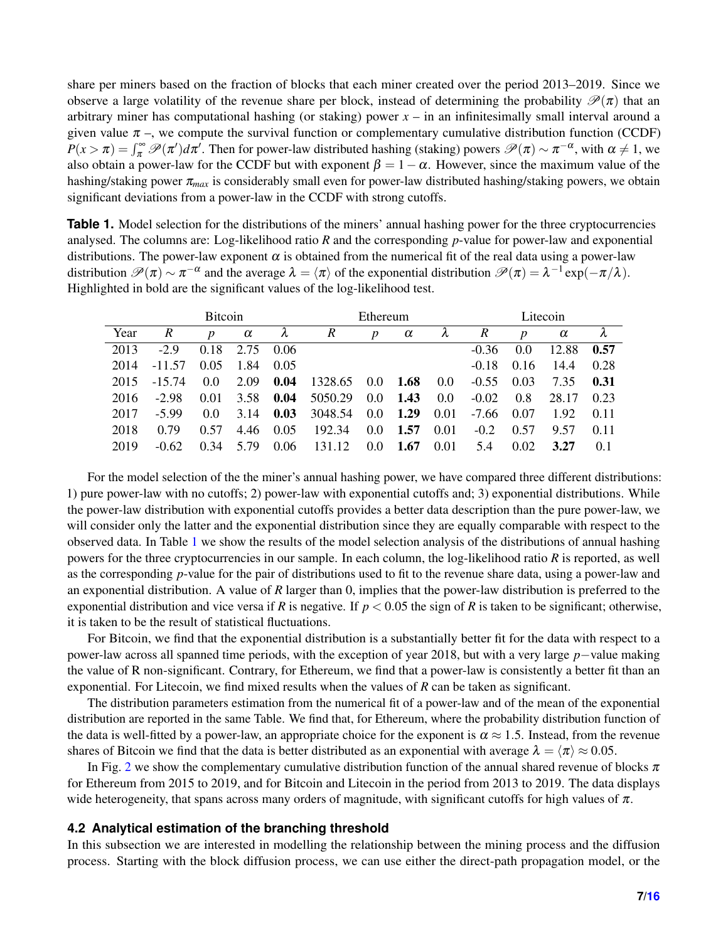share per miners based on the fraction of blocks that each miner created over the period 2013–2019. Since we observe a large volatility of the revenue share per block, instead of determining the probability  $\mathcal{P}(\pi)$  that an arbitrary miner has computational hashing (or staking) power  $x -$  in an infinitesimally small interval around a given value  $\pi$  –, we compute the survival function or complementary cumulative distribution function (CCDF)  $P(x > \pi) = \int_{\pi}^{\infty} \mathcal{P}(\pi') d\pi'$ . Then for power-law distributed hashing (staking) powers  $\mathcal{P}(\pi) \sim \pi^{-\alpha}$ , with  $\alpha \neq 1$ , we also obtain a power-law for the CCDF but with exponent  $\beta = 1 - \alpha$ . However, since the maximum value of the hashing/staking power π*max* is considerably small even for power-law distributed hashing/staking powers, we obtain significant deviations from a power-law in the CCDF with strong cutoffs.

<span id="page-6-0"></span>**Table 1.** Model selection for the distributions of the miners' annual hashing power for the three cryptocurrencies analysed. The columns are: Log-likelihood ratio *R* and the corresponding *p*-value for power-law and exponential distributions. The power-law exponent  $\alpha$  is obtained from the numerical fit of the real data using a power-law distribution  $\mathscr{P}(\pi) \sim \pi^{-\alpha}$  and the average  $\lambda = \langle \pi \rangle$  of the exponential distribution  $\mathscr{P}(\pi) = \lambda^{-1} \exp(-\pi/\lambda)$ . Highlighted in bold are the significant values of the log-likelihood test.

|      | <b>Bitcoin</b> |                  |          |      | Ethereum    |                  |          |               | Litecoin |                  |          |      |
|------|----------------|------------------|----------|------|-------------|------------------|----------|---------------|----------|------------------|----------|------|
| Year | R              | $\boldsymbol{D}$ | $\alpha$ | λ    | R           | $\boldsymbol{p}$ | $\alpha$ | λ             | R        | $\boldsymbol{D}$ | $\alpha$ | λ    |
| 2013 | $-2.9$         | 0.18             | 2.75     | 0.06 |             |                  |          |               | $-0.36$  | 0.0              | 12.88    | 0.57 |
| 2014 | $-11.57$       | 0.05             | 1.84     | 0.05 |             |                  |          |               | $-0.18$  | 0.16             | 14.4     | 0.28 |
| 2015 | $-15.74$       | $0.0^{\circ}$    | 2.09     | 0.04 | 1328.65 0.0 |                  | 1.68     | $0.0^{\circ}$ | $-0.55$  | 0.03             | 7.35     | 0.31 |
| 2016 | $-2.98$        | 0.01             | 3.58     | 0.04 | 5050.29     | $0.0\,$          | 1.43     | $0.0^{\circ}$ | $-0.02$  | 0.8              | 28.17    | 0.23 |
| 2017 | $-5.99$        | 0.0              | 3.14     | 0.03 | 3048.54     | $0.0\,$          | 1.29     | 0.01          | $-7.66$  | 0.07             | 1.92     | 0.11 |
| 2018 | 0.79           | 0.57             | 4.46     | 0.05 | 192.34      | $0.0^{\circ}$    | 1.57     | 0.01          | $-0.2$   | 0.57             | 9.57     | 0.11 |
| 2019 | $-0.62$        | 0.34             | 5.79     | 0.06 | 131.12      | $0.0^{\circ}$    | 1.67     | 0.01          | 5.4      | 0.02             | 3.27     | 0.1  |

For the model selection of the the miner's annual hashing power, we have compared three different distributions: 1) pure power-law with no cutoffs; 2) power-law with exponential cutoffs and; 3) exponential distributions. While the power-law distribution with exponential cutoffs provides a better data description than the pure power-law, we will consider only the latter and the exponential distribution since they are equally comparable with respect to the observed data. In Table [1](#page-6-0) we show the results of the model selection analysis of the distributions of annual hashing powers for the three cryptocurrencies in our sample. In each column, the log-likelihood ratio *R* is reported, as well as the corresponding *p*-value for the pair of distributions used to fit to the revenue share data, using a power-law and an exponential distribution. A value of *R* larger than 0, implies that the power-law distribution is preferred to the exponential distribution and vice versa if *R* is negative. If  $p < 0.05$  the sign of *R* is taken to be significant; otherwise, it is taken to be the result of statistical fluctuations.

For Bitcoin, we find that the exponential distribution is a substantially better fit for the data with respect to a power-law across all spanned time periods, with the exception of year 2018, but with a very large *p*−value making the value of R non-significant. Contrary, for Ethereum, we find that a power-law is consistently a better fit than an exponential. For Litecoin, we find mixed results when the values of *R* can be taken as significant.

The distribution parameters estimation from the numerical fit of a power-law and of the mean of the exponential distribution are reported in the same Table. We find that, for Ethereum, where the probability distribution function of the data is well-fitted by a power-law, an appropriate choice for the exponent is  $\alpha \approx 1.5$ . Instead, from the revenue shares of Bitcoin we find that the data is better distributed as an exponential with average  $\lambda = \langle \pi \rangle \approx 0.05$ .

In Fig. [2](#page-7-0) we show the complementary cumulative distribution function of the annual shared revenue of blocks  $\pi$ for Ethereum from 2015 to 2019, and for Bitcoin and Litecoin in the period from 2013 to 2019. The data displays wide heterogeneity, that spans across many orders of magnitude, with significant cutoffs for high values of  $\pi$ .

#### <span id="page-6-1"></span>**4.2 Analytical estimation of the branching threshold**

In this subsection we are interested in modelling the relationship between the mining process and the diffusion process. Starting with the block diffusion process, we can use either the direct-path propagation model, or the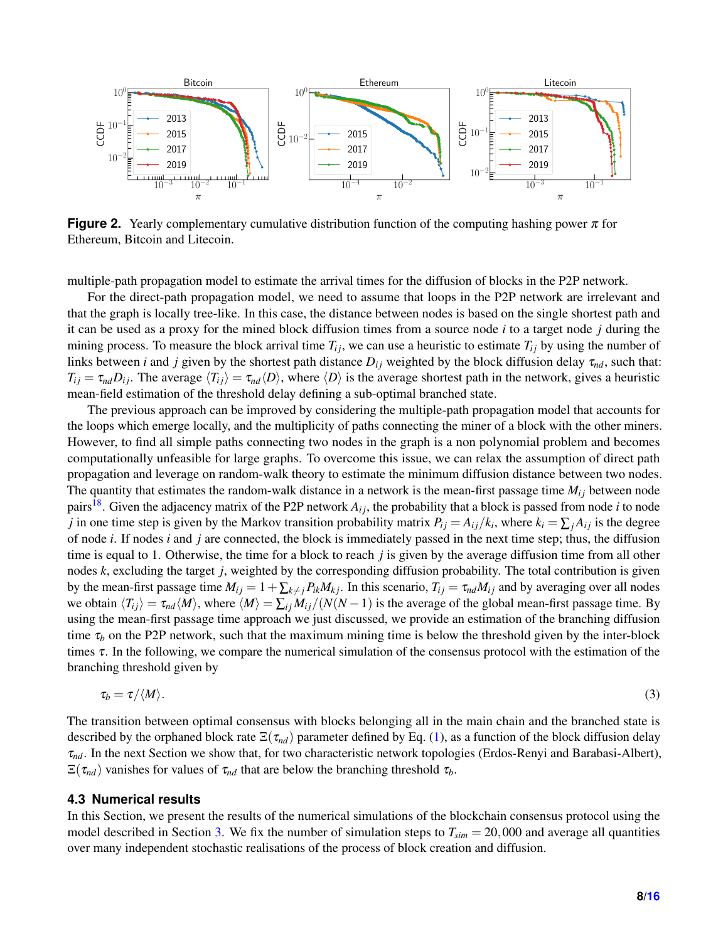<span id="page-7-0"></span>

**Figure 2.** Yearly complementary cumulative distribution function of the computing hashing power  $\pi$  for Ethereum, Bitcoin and Litecoin.

multiple-path propagation model to estimate the arrival times for the diffusion of blocks in the P2P network.

For the direct-path propagation model, we need to assume that loops in the P2P network are irrelevant and that the graph is locally tree-like. In this case, the distance between nodes is based on the single shortest path and it can be used as a proxy for the mined block diffusion times from a source node *i* to a target node *j* during the mining process. To measure the block arrival time  $T_{ij}$ , we can use a heuristic to estimate  $T_{ij}$  by using the number of links between *i* and *j* given by the shortest path distance  $D_{ij}$  weighted by the block diffusion delay  $\tau_{nd}$ , such that:  $T_{ij} = \tau_{nd}D_{ij}$ . The average  $\langle T_{ij} \rangle = \tau_{nd}\langle D \rangle$ , where  $\langle D \rangle$  is the average shortest path in the network, gives a heuristic mean-field estimation of the threshold delay defining a sub-optimal branched state.

The previous approach can be improved by considering the multiple-path propagation model that accounts for the loops which emerge locally, and the multiplicity of paths connecting the miner of a block with the other miners. However, to find all simple paths connecting two nodes in the graph is a non polynomial problem and becomes computationally unfeasible for large graphs. To overcome this issue, we can relax the assumption of direct path propagation and leverage on random-walk theory to estimate the minimum diffusion distance between two nodes. The quantity that estimates the random-walk distance in a network is the mean-first passage time  $M_{ij}$  between node pairs<sup>[18](#page-15-6)</sup>. Given the adjacency matrix of the P2P network  $A_{ij}$ , the probability that a block is passed from node *i* to node *j* in one time step is given by the Markov transition probability matrix  $P_{ij} = A_{ij}/k_i$ , where  $k_i = \sum_j A_{ij}$  is the degree of node *i*. If nodes *i* and *j* are connected, the block is immediately passed in the next time step; thus, the diffusion time is equal to 1. Otherwise, the time for a block to reach *j* is given by the average diffusion time from all other nodes *k*, excluding the target *j*, weighted by the corresponding diffusion probability. The total contribution is given by the mean-first passage time  $M_{ij} = 1 + \sum_{k \neq j} P_{ik} M_{kj}$ . In this scenario,  $T_{ij} = \tau_{nd} M_{ij}$  and by averaging over all nodes we obtain  $\langle T_{ij} \rangle = \tau_{nd} \langle M \rangle$ , where  $\langle M \rangle = \sum_{i} M_{ij} / (N(N-1))$  is the average of the global mean-first passage time. By using the mean-first passage time approach we just discussed, we provide an estimation of the branching diffusion time  $\tau_b$  on the P2P network, such that the maximum mining time is below the threshold given by the inter-block times  $\tau$ . In the following, we compare the numerical simulation of the consensus protocol with the estimation of the branching threshold given by

<span id="page-7-1"></span>
$$
\tau_b = \tau / \langle M \rangle. \tag{3}
$$

The transition between optimal consensus with blocks belonging all in the main chain and the branched state is described by the orphaned block rate  $\Xi(\tau_{nd})$  parameter defined by Eq. [\(1\)](#page-5-0), as a function of the block diffusion delay τ*nd*. In the next Section we show that, for two characteristic network topologies (Erdos-Renyi and Barabasi-Albert),  $\Xi(\tau_{nd})$  vanishes for values of  $\tau_{nd}$  that are below the branching threshold  $\tau_b$ .

#### **4.3 Numerical results**

In this Section, we present the results of the numerical simulations of the blockchain consensus protocol using the model described in Section [3.](#page-3-0) We fix the number of simulation steps to  $T_{sim} = 20,000$  and average all quantities over many independent stochastic realisations of the process of block creation and diffusion.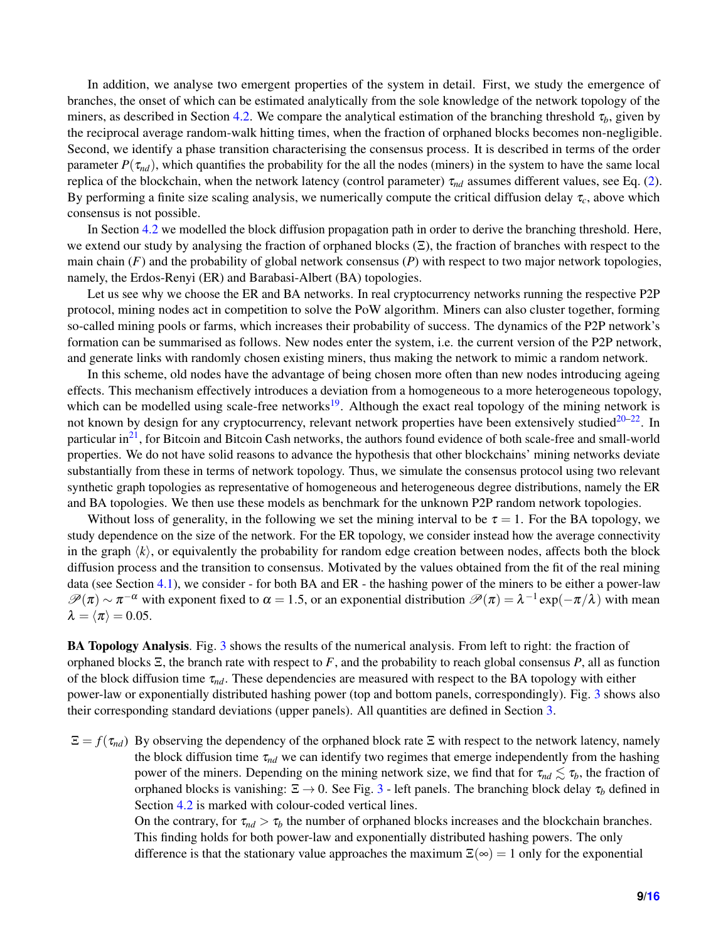In addition, we analyse two emergent properties of the system in detail. First, we study the emergence of branches, the onset of which can be estimated analytically from the sole knowledge of the network topology of the miners, as described in Section [4.2.](#page-6-1) We compare the analytical estimation of the branching threshold  $\tau_b$ , given by the reciprocal average random-walk hitting times, when the fraction of orphaned blocks becomes non-negligible. Second, we identify a phase transition characterising the consensus process. It is described in terms of the order parameter  $P(\tau_{nd})$ , which quantifies the probability for the all the nodes (miners) in the system to have the same local replica of the blockchain, when the network latency (control parameter) τ*nd* assumes different values, see Eq. [\(2\)](#page-5-1). By performing a finite size scaling analysis, we numerically compute the critical diffusion delay  $\tau_c$ , above which consensus is not possible.

In Section [4.2](#page-6-1) we modelled the block diffusion propagation path in order to derive the branching threshold. Here, we extend our study by analysing the fraction of orphaned blocks  $(\Xi)$ , the fraction of branches with respect to the main chain (*F*) and the probability of global network consensus (*P*) with respect to two major network topologies, namely, the Erdos-Renyi (ER) and Barabasi-Albert (BA) topologies.

Let us see why we choose the ER and BA networks. In real cryptocurrency networks running the respective P2P protocol, mining nodes act in competition to solve the PoW algorithm. Miners can also cluster together, forming so-called mining pools or farms, which increases their probability of success. The dynamics of the P2P network's formation can be summarised as follows. New nodes enter the system, i.e. the current version of the P2P network, and generate links with randomly chosen existing miners, thus making the network to mimic a random network.

In this scheme, old nodes have the advantage of being chosen more often than new nodes introducing ageing effects. This mechanism effectively introduces a deviation from a homogeneous to a more heterogeneous topology, which can be modelled using scale-free networks<sup>[19](#page-15-7)</sup>. Although the exact real topology of the mining network is not known by design for any cryptocurrency, relevant network properties have been extensively studied $20-22$  $20-22$ . In particular  $in<sup>21</sup>$  $in<sup>21</sup>$  $in<sup>21</sup>$ , for Bitcoin and Bitcoin Cash networks, the authors found evidence of both scale-free and small-world properties. We do not have solid reasons to advance the hypothesis that other blockchains' mining networks deviate substantially from these in terms of network topology. Thus, we simulate the consensus protocol using two relevant synthetic graph topologies as representative of homogeneous and heterogeneous degree distributions, namely the ER and BA topologies. We then use these models as benchmark for the unknown P2P random network topologies.

Without loss of generality, in the following we set the mining interval to be  $\tau = 1$ . For the BA topology, we study dependence on the size of the network. For the ER topology, we consider instead how the average connectivity in the graph  $\langle k \rangle$ , or equivalently the probability for random edge creation between nodes, affects both the block diffusion process and the transition to consensus. Motivated by the values obtained from the fit of the real mining data (see Section [4.1\)](#page-5-2), we consider - for both BA and ER - the hashing power of the miners to be either a power-law  $\mathscr{P}(\pi) \sim \pi^{-\alpha}$  with exponent fixed to  $\alpha = 1.5$ , or an exponential distribution  $\mathscr{P}(\pi) = \lambda^{-1} \exp(-\pi/\lambda)$  with mean  $\lambda = \langle \pi \rangle = 0.05.$ 

BA Topology Analysis. Fig. [3](#page-9-0) shows the results of the numerical analysis. From left to right: the fraction of orphaned blocks Ξ, the branch rate with respect to *F*, and the probability to reach global consensus *P*, all as function of the block diffusion time τ*nd*. These dependencies are measured with respect to the BA topology with either power-law or exponentially distributed hashing power (top and bottom panels, correspondingly). Fig. [3](#page-9-0) shows also their corresponding standard deviations (upper panels). All quantities are defined in Section [3.](#page-3-0)

 $\Xi = f(\tau_{nd})$  By observing the dependency of the orphaned block rate  $\Xi$  with respect to the network latency, namely the block diffusion time  $\tau_{nd}$  we can identify two regimes that emerge independently from the hashing power of the miners. Depending on the mining network size, we find that for  $\tau_{nd} \lesssim \tau_b$ , the fraction of orphaned blocks is vanishing:  $\Xi \rightarrow 0$ . See Fig. [3](#page-9-0) - left panels. The branching block delay  $\tau_b$  defined in Section [4.2](#page-6-1) is marked with colour-coded vertical lines.

> On the contrary, for  $\tau_{nd} > \tau_b$  the number of orphaned blocks increases and the blockchain branches. This finding holds for both power-law and exponentially distributed hashing powers. The only difference is that the stationary value approaches the maximum  $\Xi(\infty) = 1$  only for the exponential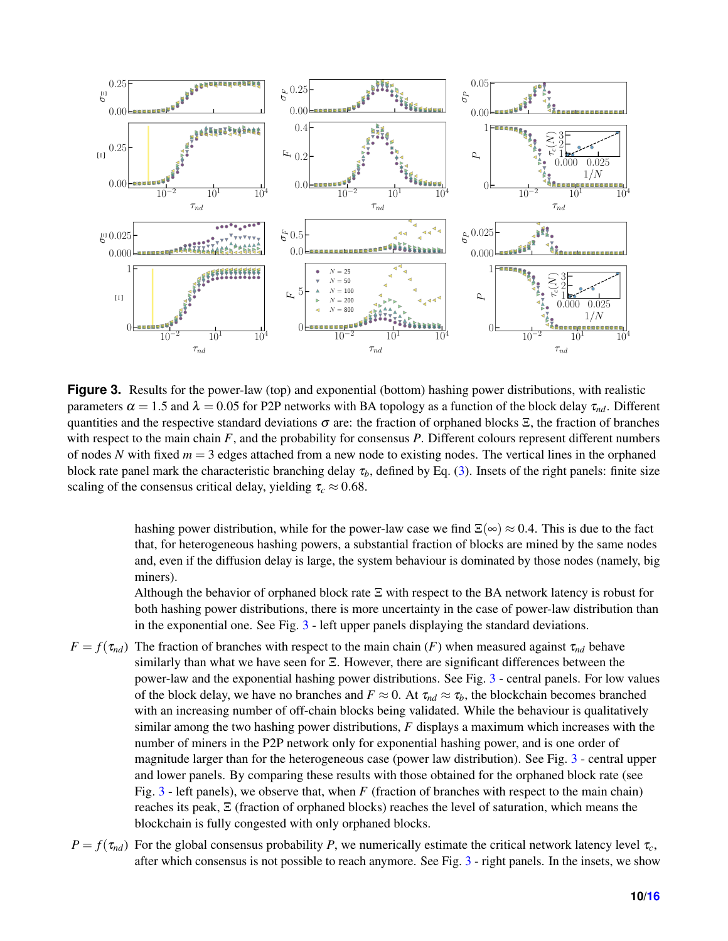<span id="page-9-0"></span>

**Figure 3.** Results for the power-law (top) and exponential (bottom) hashing power distributions, with realistic parameters  $\alpha = 1.5$  and  $\lambda = 0.05$  for P2P networks with BA topology as a function of the block delay  $\tau_{nd}$ . Different quantities and the respective standard deviations  $\sigma$  are: the fraction of orphaned blocks  $\Xi$ , the fraction of branches with respect to the main chain *F*, and the probability for consensus *P*. Different colours represent different numbers of nodes N with fixed  $m = 3$  edges attached from a new node to existing nodes. The vertical lines in the orphaned block rate panel mark the characteristic branching delay  $\tau_b$ , defined by Eq. [\(3\)](#page-7-1). Insets of the right panels: finite size scaling of the consensus critical delay, yielding  $\tau_c \approx 0.68$ .

hashing power distribution, while for the power-law case we find  $\Xi(\infty) \approx 0.4$ . This is due to the fact that, for heterogeneous hashing powers, a substantial fraction of blocks are mined by the same nodes and, even if the diffusion delay is large, the system behaviour is dominated by those nodes (namely, big miners).

Although the behavior of orphaned block rate Ξ with respect to the BA network latency is robust for both hashing power distributions, there is more uncertainty in the case of power-law distribution than in the exponential one. See Fig. [3](#page-9-0) - left upper panels displaying the standard deviations.

- $F = f(\tau_{nd})$  The fraction of branches with respect to the main chain (*F*) when measured against  $\tau_{nd}$  behave similarly than what we have seen for Ξ. However, there are significant differences between the power-law and the exponential hashing power distributions. See Fig. [3](#page-9-0) - central panels. For low values of the block delay, we have no branches and  $F \approx 0$ . At  $\tau_{nd} \approx \tau_b$ , the blockchain becomes branched with an increasing number of off-chain blocks being validated. While the behaviour is qualitatively similar among the two hashing power distributions, *F* displays a maximum which increases with the number of miners in the P2P network only for exponential hashing power, and is one order of magnitude larger than for the heterogeneous case (power law distribution). See Fig. [3](#page-9-0) - central upper and lower panels. By comparing these results with those obtained for the orphaned block rate (see Fig. [3](#page-9-0) - left panels), we observe that, when *F* (fraction of branches with respect to the main chain) reaches its peak, Ξ (fraction of orphaned blocks) reaches the level of saturation, which means the blockchain is fully congested with only orphaned blocks.
- $P = f(\tau_{nd})$  For the global consensus probability *P*, we numerically estimate the critical network latency level  $\tau_c$ , after which consensus is not possible to reach anymore. See Fig. [3](#page-9-0) - right panels. In the insets, we show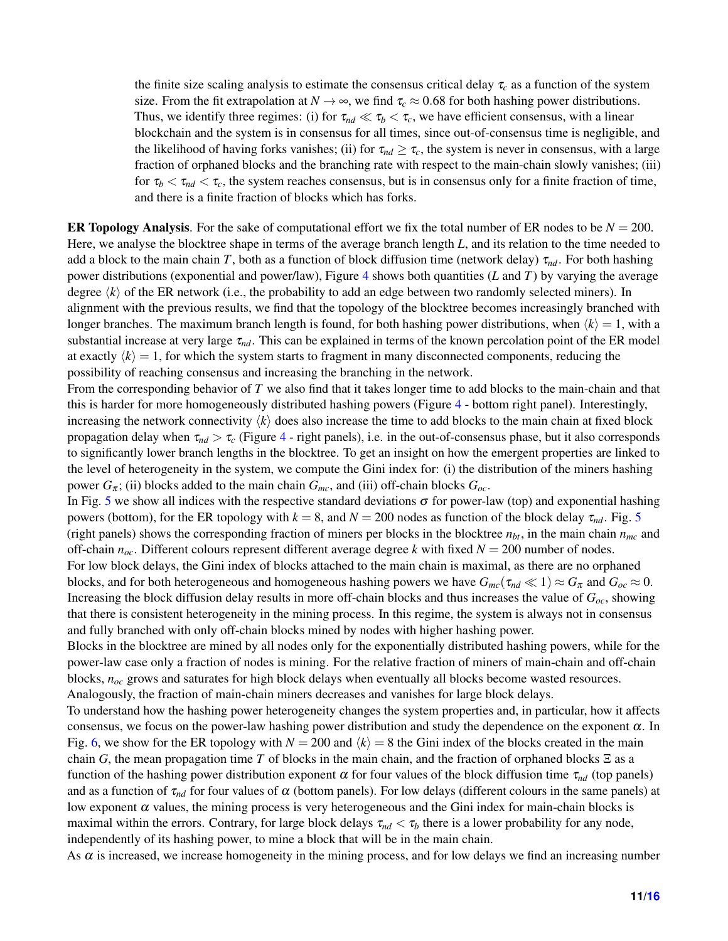the finite size scaling analysis to estimate the consensus critical delay  $\tau_c$  as a function of the system size. From the fit extrapolation at  $N \to \infty$ , we find  $\tau_c \approx 0.68$  for both hashing power distributions. Thus, we identify three regimes: (i) for  $\tau_{nd} \ll \tau_b < \tau_c$ , we have efficient consensus, with a linear blockchain and the system is in consensus for all times, since out-of-consensus time is negligible, and the likelihood of having forks vanishes; (ii) for  $\tau_{nd} \geq \tau_c$ , the system is never in consensus, with a large fraction of orphaned blocks and the branching rate with respect to the main-chain slowly vanishes; (iii) for  $\tau_b < \tau_{nd} < \tau_c$ , the system reaches consensus, but is in consensus only for a finite fraction of time, and there is a finite fraction of blocks which has forks.

ER Topology Analysis. For the sake of computational effort we fix the total number of ER nodes to be  $N = 200$ . Here, we analyse the blocktree shape in terms of the average branch length *L*, and its relation to the time needed to add a block to the main chain *T*, both as a function of block diffusion time (network delay)  $\tau_{nd}$ . For both hashing power distributions (exponential and power/law), Figure [4](#page-11-0) shows both quantities (*L* and *T*) by varying the average degree  $\langle k \rangle$  of the ER network (i.e., the probability to add an edge between two randomly selected miners). In alignment with the previous results, we find that the topology of the blocktree becomes increasingly branched with longer branches. The maximum branch length is found, for both hashing power distributions, when  $\langle k \rangle = 1$ , with a substantial increase at very large  $\tau_{nd}$ . This can be explained in terms of the known percolation point of the ER model at exactly  $\langle k \rangle = 1$ , for which the system starts to fragment in many disconnected components, reducing the possibility of reaching consensus and increasing the branching in the network.

From the corresponding behavior of *T* we also find that it takes longer time to add blocks to the main-chain and that this is harder for more homogeneously distributed hashing powers (Figure [4](#page-11-0) - bottom right panel). Interestingly, increasing the network connectivity  $\langle k \rangle$  does also increase the time to add blocks to the main chain at fixed block propagation delay when  $\tau_{nd} > \tau_c$  (Figure [4](#page-11-0) - right panels), i.e. in the out-of-consensus phase, but it also corresponds to significantly lower branch lengths in the blocktree. To get an insight on how the emergent properties are linked to the level of heterogeneity in the system, we compute the Gini index for: (i) the distribution of the miners hashing power  $G_{\pi}$ ; (ii) blocks added to the main chain  $G_{mc}$ , and (iii) off-chain blocks  $G_{oc}$ .

In Fig. [5](#page-11-1) we show all indices with the respective standard deviations  $\sigma$  for power-law (top) and exponential hashing powers (bottom), for the ER topology with  $k = 8$ , and  $N = 200$  nodes as function of the block delay  $\tau_{nd}$ . Fig. [5](#page-11-1) (right panels) shows the corresponding fraction of miners per blocks in the blocktree  $n_{bt}$ , in the main chain  $n_{mc}$  and off-chain  $n_{\text{oc}}$ . Different colours represent different average degree *k* with fixed  $N = 200$  number of nodes. For low block delays, the Gini index of blocks attached to the main chain is maximal, as there are no orphaned blocks, and for both heterogeneous and homogeneous hashing powers we have  $G_{mc}(\tau_{nd} \ll 1) \approx G_{\pi}$  and  $G_{oc} \approx 0$ . Increasing the block diffusion delay results in more off-chain blocks and thus increases the value of *Goc*, showing that there is consistent heterogeneity in the mining process. In this regime, the system is always not in consensus

Blocks in the blocktree are mined by all nodes only for the exponentially distributed hashing powers, while for the power-law case only a fraction of nodes is mining. For the relative fraction of miners of main-chain and off-chain blocks, *noc* grows and saturates for high block delays when eventually all blocks become wasted resources. Analogously, the fraction of main-chain miners decreases and vanishes for large block delays.

and fully branched with only off-chain blocks mined by nodes with higher hashing power.

To understand how the hashing power heterogeneity changes the system properties and, in particular, how it affects consensus, we focus on the power-law hashing power distribution and study the dependence on the exponent  $\alpha$ . In Fig. [6,](#page-12-0) we show for the ER topology with  $N = 200$  and  $\langle k \rangle = 8$  the Gini index of the blocks created in the main chain *G*, the mean propagation time *T* of blocks in the main chain, and the fraction of orphaned blocks  $\Xi$  as a function of the hashing power distribution exponent  $\alpha$  for four values of the block diffusion time  $\tau_{nd}$  (top panels) and as a function of  $\tau_{nd}$  for four values of  $\alpha$  (bottom panels). For low delays (different colours in the same panels) at low exponent  $\alpha$  values, the mining process is very heterogeneous and the Gini index for main-chain blocks is maximal within the errors. Contrary, for large block delays  $\tau_{nd} < \tau_b$  there is a lower probability for any node, independently of its hashing power, to mine a block that will be in the main chain.

As  $\alpha$  is increased, we increase homogeneity in the mining process, and for low delays we find an increasing number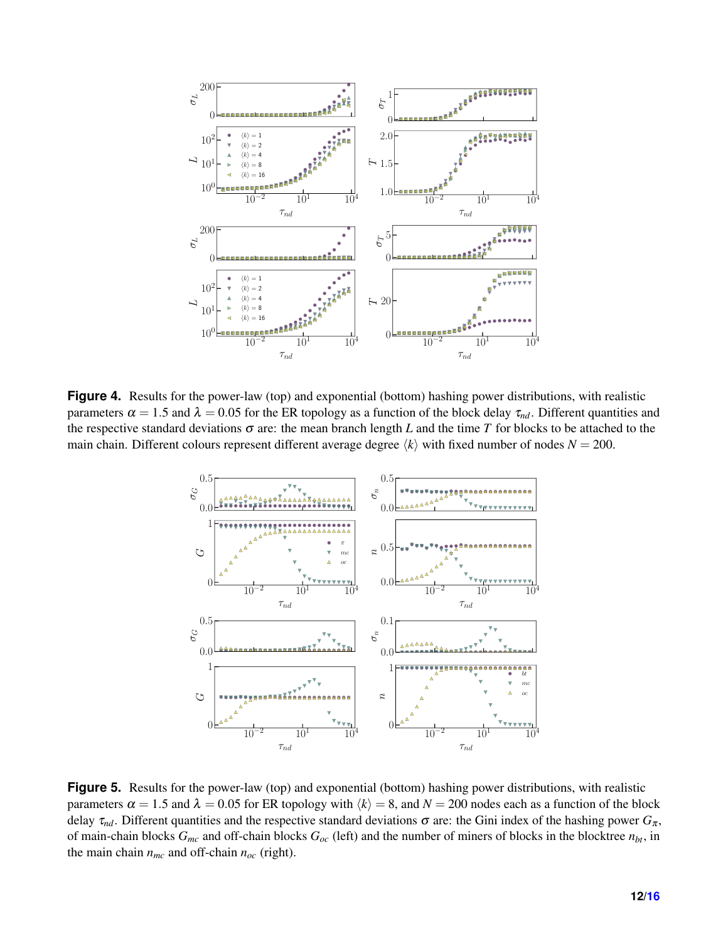<span id="page-11-0"></span>

<span id="page-11-1"></span>**Figure 4.** Results for the power-law (top) and exponential (bottom) hashing power distributions, with realistic parameters  $\alpha = 1.5$  and  $\lambda = 0.05$  for the ER topology as a function of the block delay  $\tau_{nd}$ . Different quantities and the respective standard deviations  $\sigma$  are: the mean branch length *L* and the time *T* for blocks to be attached to the main chain. Different colours represent different average degree  $\langle k \rangle$  with fixed number of nodes  $N = 200$ .



**Figure 5.** Results for the power-law (top) and exponential (bottom) hashing power distributions, with realistic parameters  $\alpha = 1.5$  and  $\lambda = 0.05$  for ER topology with  $\langle k \rangle = 8$ , and  $N = 200$  nodes each as a function of the block delay  $\tau_{nd}$ . Different quantities and the respective standard deviations  $\sigma$  are: the Gini index of the hashing power  $G_{\pi}$ , of main-chain blocks *Gmc* and off-chain blocks *Goc* (left) and the number of miners of blocks in the blocktree *nbt*, in the main chain  $n_{mc}$  and off-chain  $n_{oc}$  (right).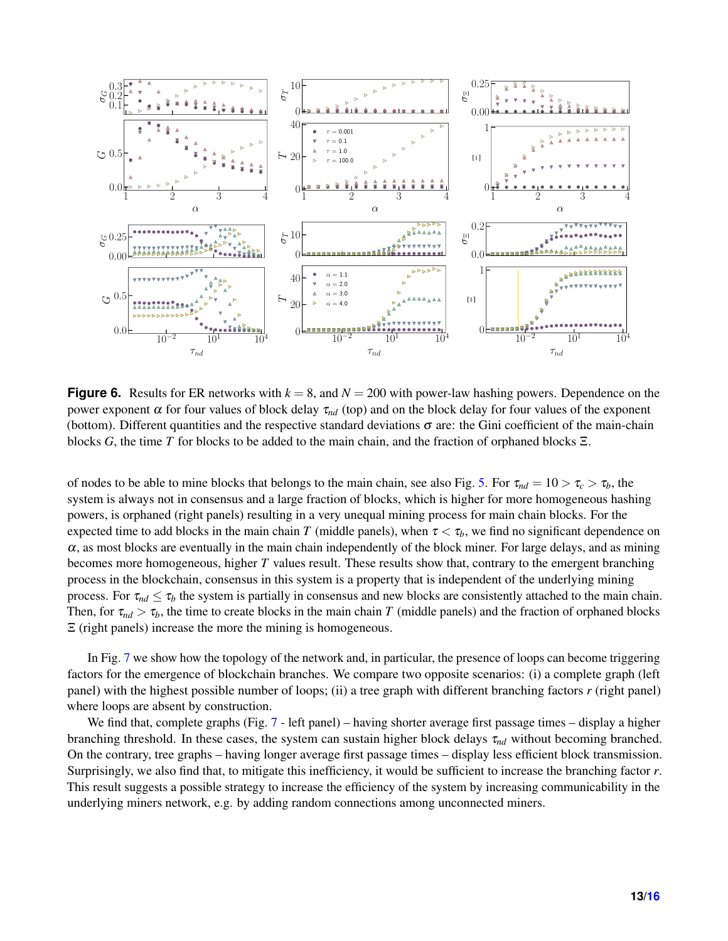<span id="page-12-0"></span>

**Figure 6.** Results for ER networks with  $k = 8$ , and  $N = 200$  with power-law hashing powers. Dependence on the power exponent α for four values of block delay  $τ_{nd}$  (top) and on the block delay for four values of the exponent (bottom). Different quantities and the respective standard deviations  $\sigma$  are: the Gini coefficient of the main-chain blocks *G*, the time *T* for blocks to be added to the main chain, and the fraction of orphaned blocks Ξ.

of nodes to be able to mine blocks that belongs to the main chain, see also Fig. [5.](#page-11-1) For  $\tau_{nd} = 10 > \tau_c > \tau_b$ , the system is always not in consensus and a large fraction of blocks, which is higher for more homogeneous hashing powers, is orphaned (right panels) resulting in a very unequal mining process for main chain blocks. For the expected time to add blocks in the main chain *T* (middle panels), when  $\tau < \tau_b$ , we find no significant dependence on  $\alpha$ , as most blocks are eventually in the main chain independently of the block miner. For large delays, and as mining becomes more homogeneous, higher *T* values result. These results show that, contrary to the emergent branching process in the blockchain, consensus in this system is a property that is independent of the underlying mining process. For  $\tau_{nd} \leq \tau_b$  the system is partially in consensus and new blocks are consistently attached to the main chain. Then, for  $\tau_{nd} > \tau_b$ , the time to create blocks in the main chain *T* (middle panels) and the fraction of orphaned blocks Ξ (right panels) increase the more the mining is homogeneous.

In Fig. [7](#page-13-0) we show how the topology of the network and, in particular, the presence of loops can become triggering factors for the emergence of blockchain branches. We compare two opposite scenarios: (i) a complete graph (left panel) with the highest possible number of loops; (ii) a tree graph with different branching factors *r* (right panel) where loops are absent by construction.

We find that, complete graphs (Fig. [7](#page-13-0) - left panel) – having shorter average first passage times – display a higher branching threshold. In these cases, the system can sustain higher block delays  $\tau_{nd}$  without becoming branched. On the contrary, tree graphs – having longer average first passage times – display less efficient block transmission. Surprisingly, we also find that, to mitigate this inefficiency, it would be sufficient to increase the branching factor *r*. This result suggests a possible strategy to increase the efficiency of the system by increasing communicability in the underlying miners network, e.g. by adding random connections among unconnected miners.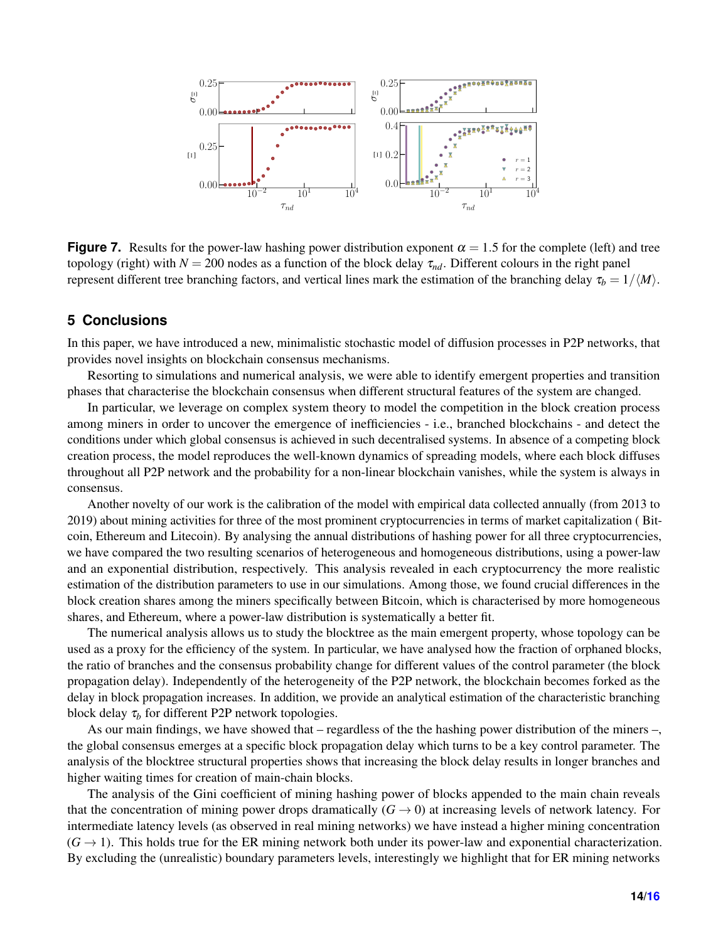<span id="page-13-0"></span>

**Figure 7.** Results for the power-law hashing power distribution exponent  $\alpha = 1.5$  for the complete (left) and tree topology (right) with  $N = 200$  nodes as a function of the block delay  $\tau_{nd}$ . Different colours in the right panel represent different tree branching factors, and vertical lines mark the estimation of the branching delay  $\tau_b = 1/\langle M \rangle$ .

## **5 Conclusions**

In this paper, we have introduced a new, minimalistic stochastic model of diffusion processes in P2P networks, that provides novel insights on blockchain consensus mechanisms.

Resorting to simulations and numerical analysis, we were able to identify emergent properties and transition phases that characterise the blockchain consensus when different structural features of the system are changed.

In particular, we leverage on complex system theory to model the competition in the block creation process among miners in order to uncover the emergence of inefficiencies - i.e., branched blockchains - and detect the conditions under which global consensus is achieved in such decentralised systems. In absence of a competing block creation process, the model reproduces the well-known dynamics of spreading models, where each block diffuses throughout all P2P network and the probability for a non-linear blockchain vanishes, while the system is always in consensus.

Another novelty of our work is the calibration of the model with empirical data collected annually (from 2013 to 2019) about mining activities for three of the most prominent cryptocurrencies in terms of market capitalization ( Bitcoin, Ethereum and Litecoin). By analysing the annual distributions of hashing power for all three cryptocurrencies, we have compared the two resulting scenarios of heterogeneous and homogeneous distributions, using a power-law and an exponential distribution, respectively. This analysis revealed in each cryptocurrency the more realistic estimation of the distribution parameters to use in our simulations. Among those, we found crucial differences in the block creation shares among the miners specifically between Bitcoin, which is characterised by more homogeneous shares, and Ethereum, where a power-law distribution is systematically a better fit.

The numerical analysis allows us to study the blocktree as the main emergent property, whose topology can be used as a proxy for the efficiency of the system. In particular, we have analysed how the fraction of orphaned blocks, the ratio of branches and the consensus probability change for different values of the control parameter (the block propagation delay). Independently of the heterogeneity of the P2P network, the blockchain becomes forked as the delay in block propagation increases. In addition, we provide an analytical estimation of the characteristic branching block delay  $\tau_b$  for different P2P network topologies.

As our main findings, we have showed that – regardless of the the hashing power distribution of the miners –, the global consensus emerges at a specific block propagation delay which turns to be a key control parameter. The analysis of the blocktree structural properties shows that increasing the block delay results in longer branches and higher waiting times for creation of main-chain blocks.

The analysis of the Gini coefficient of mining hashing power of blocks appended to the main chain reveals that the concentration of mining power drops dramatically  $(G \rightarrow 0)$  at increasing levels of network latency. For intermediate latency levels (as observed in real mining networks) we have instead a higher mining concentration  $(G \rightarrow 1)$ . This holds true for the ER mining network both under its power-law and exponential characterization. By excluding the (unrealistic) boundary parameters levels, interestingly we highlight that for ER mining networks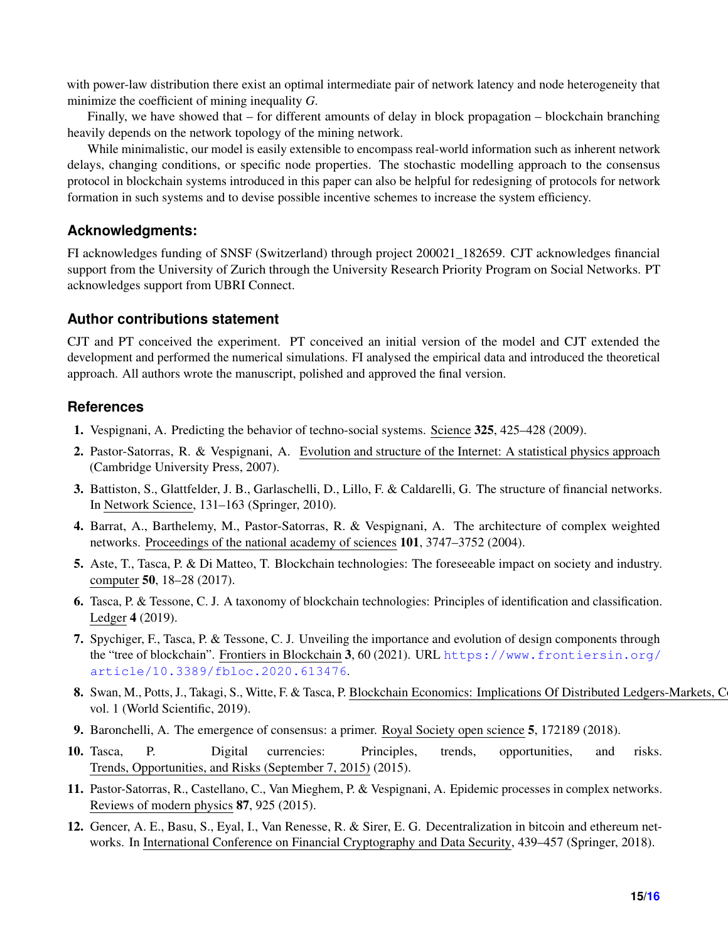with power-law distribution there exist an optimal intermediate pair of network latency and node heterogeneity that minimize the coefficient of mining inequality *G*.

Finally, we have showed that – for different amounts of delay in block propagation – blockchain branching heavily depends on the network topology of the mining network.

While minimalistic, our model is easily extensible to encompass real-world information such as inherent network delays, changing conditions, or specific node properties. The stochastic modelling approach to the consensus protocol in blockchain systems introduced in this paper can also be helpful for redesigning of protocols for network formation in such systems and to devise possible incentive schemes to increase the system efficiency.

## **Acknowledgments:**

FI acknowledges funding of SNSF (Switzerland) through project 200021\_182659. CJT acknowledges financial support from the University of Zurich through the University Research Priority Program on Social Networks. PT acknowledges support from UBRI Connect.

## **Author contributions statement**

CJT and PT conceived the experiment. PT conceived an initial version of the model and CJT extended the development and performed the numerical simulations. FI analysed the empirical data and introduced the theoretical approach. All authors wrote the manuscript, polished and approved the final version.

# **References**

- <span id="page-14-0"></span>1. Vespignani, A. Predicting the behavior of techno-social systems. Science 325, 425–428 (2009).
- <span id="page-14-1"></span>2. Pastor-Satorras, R. & Vespignani, A. Evolution and structure of the Internet: A statistical physics approach (Cambridge University Press, 2007).
- 3. Battiston, S., Glattfelder, J. B., Garlaschelli, D., Lillo, F. & Caldarelli, G. The structure of financial networks. In Network Science, 131–163 (Springer, 2010).
- <span id="page-14-2"></span>4. Barrat, A., Barthelemy, M., Pastor-Satorras, R. & Vespignani, A. The architecture of complex weighted networks. Proceedings of the national academy of sciences 101, 3747–3752 (2004).
- <span id="page-14-3"></span>5. Aste, T., Tasca, P. & Di Matteo, T. Blockchain technologies: The foreseeable impact on society and industry. computer 50, 18–28 (2017).
- <span id="page-14-4"></span>6. Tasca, P. & Tessone, C. J. A taxonomy of blockchain technologies: Principles of identification and classification. Ledger 4 (2019).
- <span id="page-14-5"></span>7. Spychiger, F., Tasca, P. & Tessone, C. J. Unveiling the importance and evolution of design components through the "tree of blockchain". Frontiers in Blockchain 3, 60 (2021). URL [https://www.frontiersin.org/](https://www.frontiersin.org/article/10.3389/fbloc.2020.613476) [article/10.3389/fbloc.2020.613476](https://www.frontiersin.org/article/10.3389/fbloc.2020.613476).
- <span id="page-14-6"></span>8. Swan, M., Potts, J., Takagi, S., Witte, F. & Tasca, P. Blockchain Economics: Implications Of Distributed Ledgers-Markets, C vol. 1 (World Scientific, 2019).
- <span id="page-14-7"></span>9. Baronchelli, A. The emergence of consensus: a primer. Royal Society open science 5, 172189 (2018).
- <span id="page-14-8"></span>10. Tasca, P. Digital currencies: Principles, trends, opportunities, and risks. Trends, Opportunities, and Risks (September 7, 2015) (2015).
- <span id="page-14-9"></span>11. Pastor-Satorras, R., Castellano, C., Van Mieghem, P. & Vespignani, A. Epidemic processes in complex networks. Reviews of modern physics 87, 925 (2015).
- <span id="page-14-10"></span>12. Gencer, A. E., Basu, S., Eyal, I., Van Renesse, R. & Sirer, E. G. Decentralization in bitcoin and ethereum networks. In International Conference on Financial Cryptography and Data Security, 439–457 (Springer, 2018).